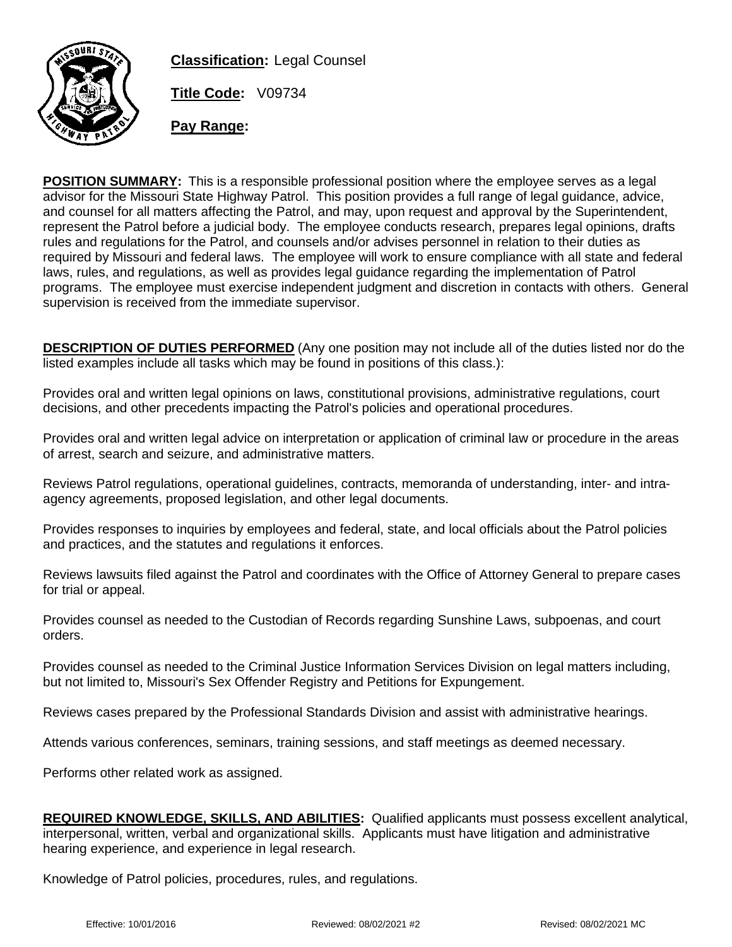

**Classification:** Legal Counsel

**Title Code:** V09734

**Pay Range:**

**POSITION SUMMARY:** This is a responsible professional position where the employee serves as a legal advisor for the Missouri State Highway Patrol. This position provides a full range of legal guidance, advice, and counsel for all matters affecting the Patrol, and may, upon request and approval by the Superintendent, represent the Patrol before a judicial body. The employee conducts research, prepares legal opinions, drafts rules and regulations for the Patrol, and counsels and/or advises personnel in relation to their duties as required by Missouri and federal laws. The employee will work to ensure compliance with all state and federal laws, rules, and regulations, as well as provides legal guidance regarding the implementation of Patrol programs. The employee must exercise independent judgment and discretion in contacts with others. General supervision is received from the immediate supervisor.

**DESCRIPTION OF DUTIES PERFORMED** (Any one position may not include all of the duties listed nor do the listed examples include all tasks which may be found in positions of this class.):

Provides oral and written legal opinions on laws, constitutional provisions, administrative regulations, court decisions, and other precedents impacting the Patrol's policies and operational procedures.

Provides oral and written legal advice on interpretation or application of criminal law or procedure in the areas of arrest, search and seizure, and administrative matters.

Reviews Patrol regulations, operational guidelines, contracts, memoranda of understanding, inter- and intraagency agreements, proposed legislation, and other legal documents.

Provides responses to inquiries by employees and federal, state, and local officials about the Patrol policies and practices, and the statutes and regulations it enforces.

Reviews lawsuits filed against the Patrol and coordinates with the Office of Attorney General to prepare cases for trial or appeal.

Provides counsel as needed to the Custodian of Records regarding Sunshine Laws, subpoenas, and court orders.

Provides counsel as needed to the Criminal Justice Information Services Division on legal matters including, but not limited to, Missouri's Sex Offender Registry and Petitions for Expungement.

Reviews cases prepared by the Professional Standards Division and assist with administrative hearings.

Attends various conferences, seminars, training sessions, and staff meetings as deemed necessary.

Performs other related work as assigned.

**REQUIRED KNOWLEDGE, SKILLS, AND ABILITIES:** Qualified applicants must possess excellent analytical, interpersonal, written, verbal and organizational skills. Applicants must have litigation and administrative hearing experience, and experience in legal research.

Knowledge of Patrol policies, procedures, rules, and regulations.